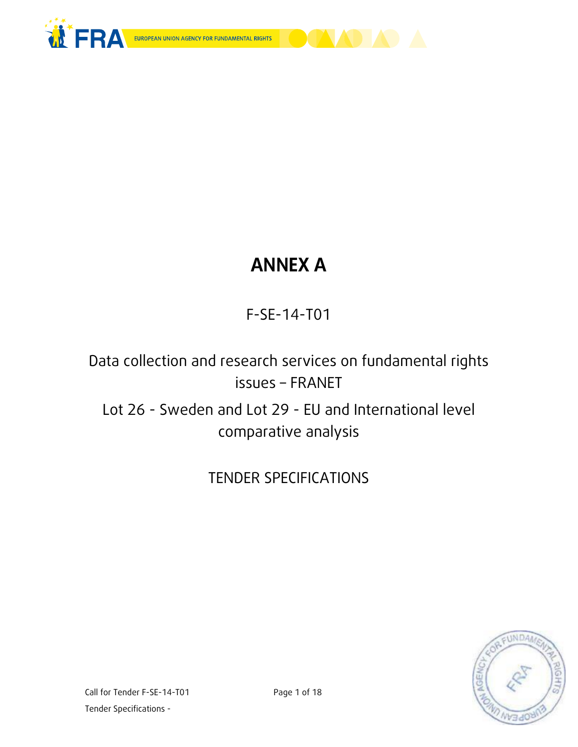



# **ANNEX A**

F-SE-14-T01

Data collection and research services on fundamental rights issues – FRANET

Lot 26 - Sweden and Lot 29 - EU and International level comparative analysis

## TENDER SPECIFICATIONS

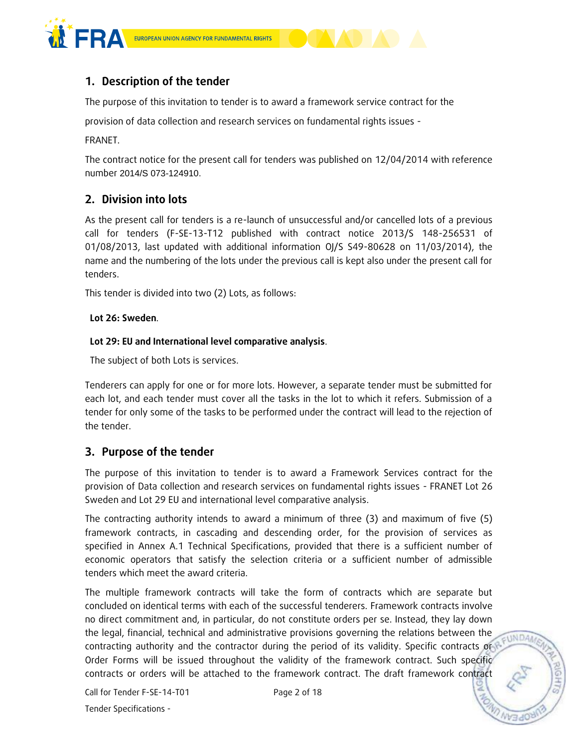

## **1. Description of the tender**

The purpose of this invitation to tender is to award a framework service contract for the

provision of data collection and research services on fundamental rights issues -

FRANET.

The contract notice for the present call for tenders was published on 12/04/2014 with reference number 2014/S 073-124910.

## **2. Division into lots**

As the present call for tenders is a re-launch of unsuccessful and/or cancelled lots of a previous call for tenders (F-SE-13-T12 published with contract notice 2013/S 148-256531 of 01/08/2013, last updated with additional information OJ/S S49-80628 on 11/03/2014), the name and the numbering of the lots under the previous call is kept also under the present call for tenders.

This tender is divided into two (2) Lots, as follows:

#### **Lot 26: Sweden**.

#### **Lot 29: EU and International level comparative analysis**.

The subject of both Lots is services.

Tenderers can apply for one or for more lots. However, a separate tender must be submitted for each lot, and each tender must cover all the tasks in the lot to which it refers. Submission of a tender for only some of the tasks to be performed under the contract will lead to the rejection of the tender.

## **3. Purpose of the tender**

The purpose of this invitation to tender is to award a Framework Services contract for the provision of Data collection and research services on fundamental rights issues - FRANET Lot 26 Sweden and Lot 29 EU and international level comparative analysis.

The contracting authority intends to award a minimum of three (3) and maximum of five (5) framework contracts, in cascading and descending order, for the provision of services as specified in Annex A.1 Technical Specifications, provided that there is a sufficient number of economic operators that satisfy the selection criteria or a sufficient number of admissible tenders which meet the award criteria.

The multiple framework contracts will take the form of contracts which are separate but concluded on identical terms with each of the successful tenderers. Framework contracts involve no direct commitment and, in particular, do not constitute orders per se. Instead, they lay down the legal, financial, technical and administrative provisions governing the relations between the contracting authority and the contractor during the period of its validity. Specific contracts or Order Forms will be issued throughout the validity of the framework contract. Such specific contracts or orders will be attached to the framework contract. The draft framework contract

**EUNDAM**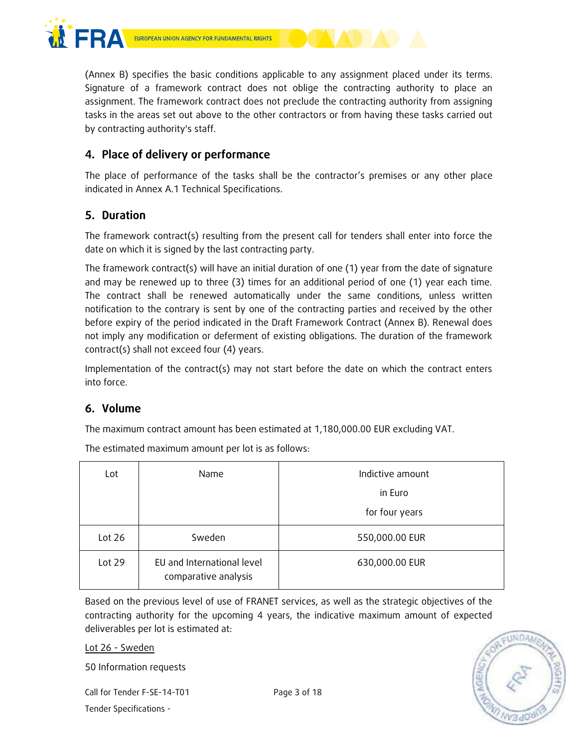

(Annex B) specifies the basic conditions applicable to any assignment placed under its terms. Signature of a framework contract does not oblige the contracting authority to place an assignment. The framework contract does not preclude the contracting authority from assigning tasks in the areas set out above to the other contractors or from having these tasks carried out by contracting authority's staff.

## **4. Place of delivery or performance**

The place of performance of the tasks shall be the contractor's premises or any other place indicated in Annex A.1 Technical Specifications.

## **5. Duration**

The framework contract(s) resulting from the present call for tenders shall enter into force the date on which it is signed by the last contracting party.

The framework contract(s) will have an initial duration of one (1) year from the date of signature and may be renewed up to three (3) times for an additional period of one (1) year each time. The contract shall be renewed automatically under the same conditions, unless written notification to the contrary is sent by one of the contracting parties and received by the other before expiry of the period indicated in the Draft Framework Contract (Annex B). Renewal does not imply any modification or deferment of existing obligations. The duration of the framework contract(s) shall not exceed four (4) years.

Implementation of the contract(s) may not start before the date on which the contract enters into force.

## **6. Volume**

The maximum contract amount has been estimated at 1,180,000.00 EUR excluding VAT.

| Lot      | Name                                               | Indictive amount |  |
|----------|----------------------------------------------------|------------------|--|
|          |                                                    | in Euro          |  |
|          |                                                    | for four years   |  |
| Lot $26$ | Sweden                                             | 550,000.00 EUR   |  |
| Lot $29$ | EU and International level<br>comparative analysis | 630,000.00 EUR   |  |

The estimated maximum amount per lot is as follows:

Based on the previous level of use of FRANET services, as well as the strategic objectives of the contracting authority for the upcoming 4 years, the indicative maximum amount of expected deliverables per lot is estimated at:

Lot 26 - Sweden

50 Information requests

Call for Tender F-SE-14-T01 Page 3 of 18

Tender Specifications -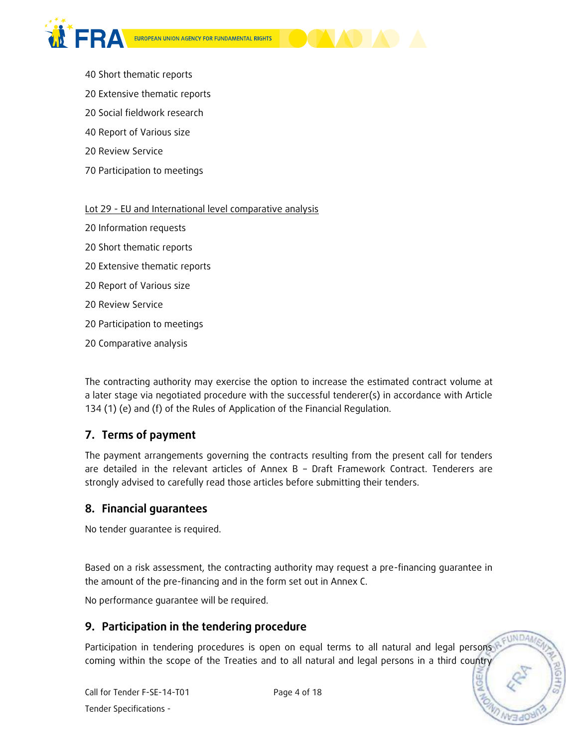



- 20 Extensive thematic reports
- 20 Social fieldwork research
- 40 Report of Various size
- 20 Review Service
- 70 Participation to meetings

#### Lot 29 - EU and International level comparative analysis

- 20 Information requests
- 20 Short thematic reports
- 20 Extensive thematic reports
- 20 Report of Various size
- 20 Review Service
- 20 Participation to meetings
- 20 Comparative analysis

The contracting authority may exercise the option to increase the estimated contract volume at a later stage via negotiated procedure with the successful tenderer(s) in accordance with Article 134 (1) (e) and (f) of the Rules of Application of the Financial Regulation.

## **7. Terms of payment**

The payment arrangements governing the contracts resulting from the present call for tenders are detailed in the relevant articles of Annex B – Draft Framework Contract. Tenderers are strongly advised to carefully read those articles before submitting their tenders.

## **8. Financial guarantees**

No tender guarantee is required.

Based on a risk assessment, the contracting authority may request a pre-financing guarantee in the amount of the pre-financing and in the form set out in Annex C.

No performance guarantee will be required.

## **9. Participation in the tendering procedure**

Participation in tendering procedures is open on equal terms to all natural and legal persons coming within the scope of the Treaties and to all natural and legal persons in a third country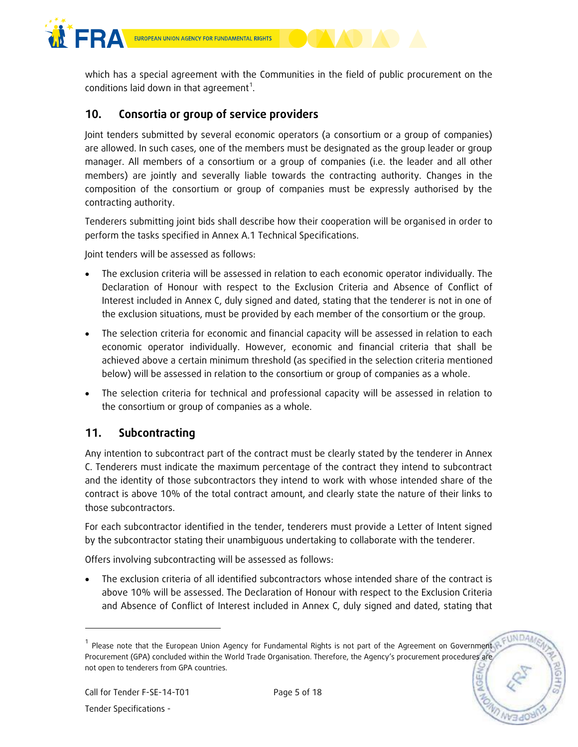

which has a special agreement with the Communities in the field of public procurement on the conditions laid down in that agreement<sup>1</sup>.

## **10. Consortia or group of service providers**

Joint tenders submitted by several economic operators (a consortium or a group of companies) are allowed. In such cases, one of the members must be designated as the group leader or group manager. All members of a consortium or a group of companies (i.e. the leader and all other members) are jointly and severally liable towards the contracting authority. Changes in the composition of the consortium or group of companies must be expressly authorised by the contracting authority.

Tenderers submitting joint bids shall describe how their cooperation will be organised in order to perform the tasks specified in Annex A.1 Technical Specifications.

Joint tenders will be assessed as follows:

- The exclusion criteria will be assessed in relation to each economic operator individually. The Declaration of Honour with respect to the Exclusion Criteria and Absence of Conflict of Interest included in Annex C, duly signed and dated, stating that the tenderer is not in one of the exclusion situations, must be provided by each member of the consortium or the group.
- The selection criteria for economic and financial capacity will be assessed in relation to each economic operator individually. However, economic and financial criteria that shall be achieved above a certain minimum threshold (as specified in the selection criteria mentioned below) will be assessed in relation to the consortium or group of companies as a whole.
- The selection criteria for technical and professional capacity will be assessed in relation to the consortium or group of companies as a whole.

## **11. Subcontracting**

Any intention to subcontract part of the contract must be clearly stated by the tenderer in Annex C. Tenderers must indicate the maximum percentage of the contract they intend to subcontract and the identity of those subcontractors they intend to work with whose intended share of the contract is above 10% of the total contract amount, and clearly state the nature of their links to those subcontractors.

For each subcontractor identified in the tender, tenderers must provide a Letter of Intent signed by the subcontractor stating their unambiguous undertaking to collaborate with the tenderer.

Offers involving subcontracting will be assessed as follows:

 The exclusion criteria of all identified subcontractors whose intended share of the contract is above 10% will be assessed. The Declaration of Honour with respect to the Exclusion Criteria and Absence of Conflict of Interest included in Annex C, duly signed and dated, stating that

-

EUNDA <sup>1</sup> Please note that the European Union Agency for Fundamental Rights is not part of the Agreement on Government Procurement (GPA) concluded within the World Trade Organisation. Therefore, the Agency's procurement procedures are not open to tenderers from GPA countries.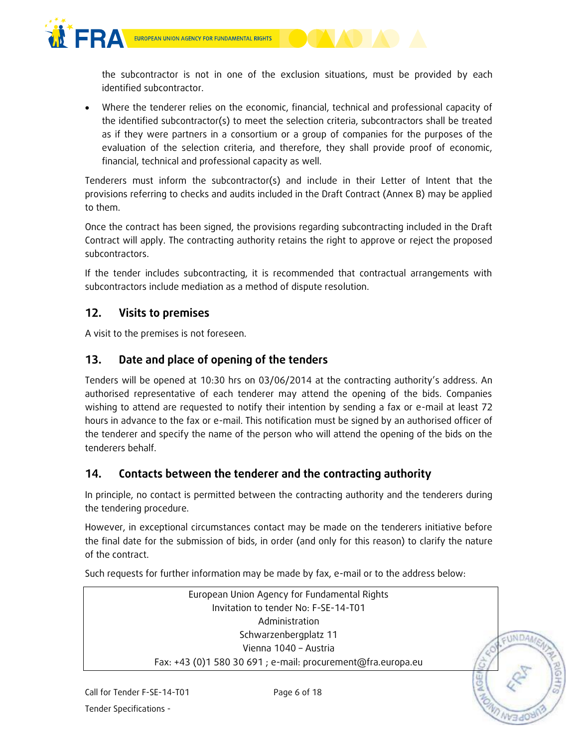

the subcontractor is not in one of the exclusion situations, must be provided by each identified subcontractor.

 Where the tenderer relies on the economic, financial, technical and professional capacity of the identified subcontractor(s) to meet the selection criteria, subcontractors shall be treated as if they were partners in a consortium or a group of companies for the purposes of the evaluation of the selection criteria, and therefore, they shall provide proof of economic, financial, technical and professional capacity as well.

Tenderers must inform the subcontractor(s) and include in their Letter of Intent that the provisions referring to checks and audits included in the Draft Contract (Annex B) may be applied to them.

Once the contract has been signed, the provisions regarding subcontracting included in the Draft Contract will apply. The contracting authority retains the right to approve or reject the proposed subcontractors.

If the tender includes subcontracting, it is recommended that contractual arrangements with subcontractors include mediation as a method of dispute resolution.

## **12. Visits to premises**

A visit to the premises is not foreseen.

## **13. Date and place of opening of the tenders**

Tenders will be opened at 10:30 hrs on 03/06/2014 at the contracting authority's address. An authorised representative of each tenderer may attend the opening of the bids. Companies wishing to attend are requested to notify their intention by sending a fax or e-mail at least 72 hours in advance to the fax or e-mail. This notification must be signed by an authorised officer of the tenderer and specify the name of the person who will attend the opening of the bids on the tenderers behalf.

## **14. Contacts between the tenderer and the contracting authority**

In principle, no contact is permitted between the contracting authority and the tenderers during the tendering procedure.

However, in exceptional circumstances contact may be made on the tenderers initiative before the final date for the submission of bids, in order (and only for this reason) to clarify the nature of the contract.

Such requests for further information may be made by fax, e-mail or to the address below:

European Union Agency for Fundamental Rights Invitation to tender No: F-SE-14-T01 Administration Schwarzenbergplatz 11 Vienna 1040 – Austria Fax: +43 (0)1 580 30 691 ; e-mail: procurement@fra.europa.eu

**UNDA**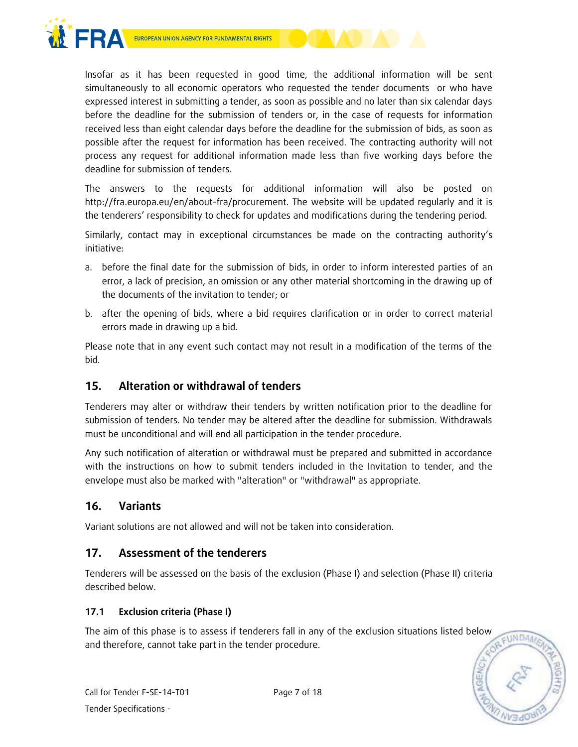

Insofar as it has been requested in good time, the additional information will be sent simultaneously to all economic operators who requested the tender documents or who have expressed interest in submitting a tender, as soon as possible and no later than six calendar days before the deadline for the submission of tenders or, in the case of requests for information received less than eight calendar days before the deadline for the submission of bids, as soon as possible after the request for information has been received. The contracting authority will not process any request for additional information made less than five working days before the deadline for submission of tenders.

The answers to the requests for additional information will also be posted on http://fra.europa.eu/en/about-fra/procurement. The website will be updated regularly and it is the tenderers' responsibility to check for updates and modifications during the tendering period.

Similarly, contact may in exceptional circumstances be made on the contracting authority's initiative:

- a. before the final date for the submission of bids, in order to inform interested parties of an error, a lack of precision, an omission or any other material shortcoming in the drawing up of the documents of the invitation to tender; or
- b. after the opening of bids, where a bid requires clarification or in order to correct material errors made in drawing up a bid.

Please note that in any event such contact may not result in a modification of the terms of the bid.

## **15. Alteration or withdrawal of tenders**

Tenderers may alter or withdraw their tenders by written notification prior to the deadline for submission of tenders. No tender may be altered after the deadline for submission. Withdrawals must be unconditional and will end all participation in the tender procedure.

Any such notification of alteration or withdrawal must be prepared and submitted in accordance with the instructions on how to submit tenders included in the Invitation to tender, and the envelope must also be marked with "alteration" or "withdrawal" as appropriate.

## **16. Variants**

Variant solutions are not allowed and will not be taken into consideration.

## **17. Assessment of the tenderers**

Tenderers will be assessed on the basis of the exclusion (Phase I) and selection (Phase II) criteria described below.

#### **17.1 Exclusion criteria (Phase I)**

The aim of this phase is to assess if tenderers fall in any of the exclusion situations listed below and therefore, cannot take part in the tender procedure.

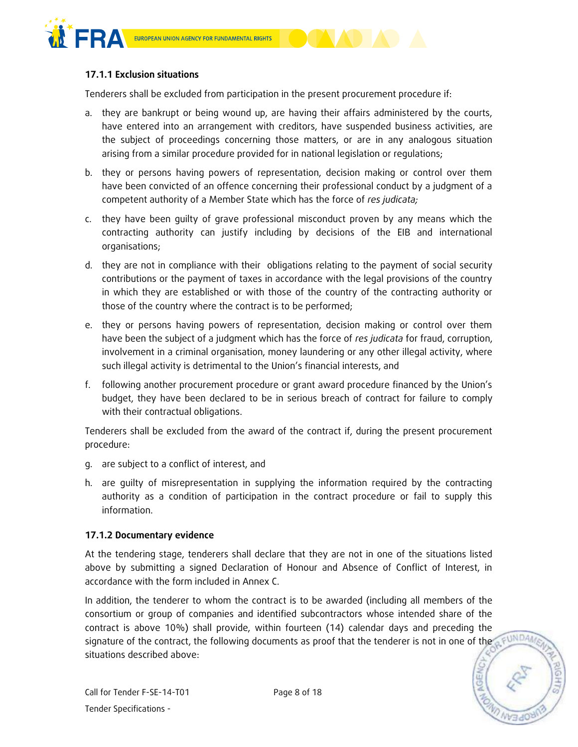

#### **17.1.1 Exclusion situations**

Tenderers shall be excluded from participation in the present procurement procedure if:

- a. they are bankrupt or being wound up, are having their affairs administered by the courts, have entered into an arrangement with creditors, have suspended business activities, are the subject of proceedings concerning those matters, or are in any analogous situation arising from a similar procedure provided for in national legislation or regulations;
- b. they or persons having powers of representation, decision making or control over them have been convicted of an offence concerning their professional conduct by a judgment of a competent authority of a Member State which has the force of *res judicata;*
- c. they have been guilty of grave professional misconduct proven by any means which the contracting authority can justify including by decisions of the EIB and international organisations;
- d. they are not in compliance with their obligations relating to the payment of social security contributions or the payment of taxes in accordance with the legal provisions of the country in which they are established or with those of the country of the contracting authority or those of the country where the contract is to be performed;
- e. they or persons having powers of representation, decision making or control over them have been the subject of a judgment which has the force of *res judicata* for fraud, corruption, involvement in a criminal organisation, money laundering or any other illegal activity, where such illegal activity is detrimental to the Union's financial interests, and
- f. following another procurement procedure or grant award procedure financed by the Union's budget, they have been declared to be in serious breach of contract for failure to comply with their contractual obligations.

Tenderers shall be excluded from the award of the contract if, during the present procurement procedure:

- g. are subject to a conflict of interest, and
- h. are guilty of misrepresentation in supplying the information required by the contracting authority as a condition of participation in the contract procedure or fail to supply this information.

#### **17.1.2 Documentary evidence**

At the tendering stage, tenderers shall declare that they are not in one of the situations listed above by submitting a signed Declaration of Honour and Absence of Conflict of Interest, in accordance with the form included in Annex C.

In addition, the tenderer to whom the contract is to be awarded (including all members of the consortium or group of companies and identified subcontractors whose intended share of the contract is above 10%) shall provide, within fourteen (14) calendar days and preceding the signature of the contract, the following documents as proof that the tenderer is not in one of the a FUNDAM situations described above: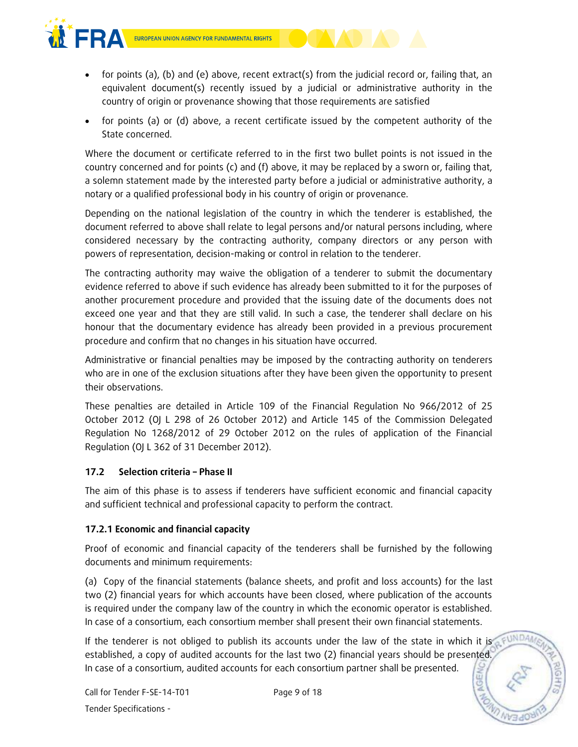

- for points (a), (b) and (e) above, recent extract(s) from the judicial record or, failing that, an equivalent document(s) recently issued by a judicial or administrative authority in the country of origin or provenance showing that those requirements are satisfied
- for points (a) or (d) above, a recent certificate issued by the competent authority of the State concerned.

Where the document or certificate referred to in the first two bullet points is not issued in the country concerned and for points (c) and (f) above, it may be replaced by a sworn or, failing that, a solemn statement made by the interested party before a judicial or administrative authority, a notary or a qualified professional body in his country of origin or provenance.

Depending on the national legislation of the country in which the tenderer is established, the document referred to above shall relate to legal persons and/or natural persons including, where considered necessary by the contracting authority, company directors or any person with powers of representation, decision-making or control in relation to the tenderer.

The contracting authority may waive the obligation of a tenderer to submit the documentary evidence referred to above if such evidence has already been submitted to it for the purposes of another procurement procedure and provided that the issuing date of the documents does not exceed one year and that they are still valid. In such a case, the tenderer shall declare on his honour that the documentary evidence has already been provided in a previous procurement procedure and confirm that no changes in his situation have occurred.

Administrative or financial penalties may be imposed by the contracting authority on tenderers who are in one of the exclusion situations after they have been given the opportunity to present their observations.

These penalties are detailed in Article 109 of the Financial Regulation No 966/2012 of 25 October 2012 (OJ L 298 of 26 October 2012) and Article 145 of the Commission Delegated Regulation No 1268/2012 of 29 October 2012 on the rules of application of the Financial Regulation (OJ L 362 of 31 December 2012).

#### **17.2 Selection criteria – Phase II**

The aim of this phase is to assess if tenderers have sufficient economic and financial capacity and sufficient technical and professional capacity to perform the contract.

#### **17.2.1 Economic and financial capacity**

Proof of economic and financial capacity of the tenderers shall be furnished by the following documents and minimum requirements:

(a) Copy of the financial statements (balance sheets, and profit and loss accounts) for the last two (2) financial years for which accounts have been closed, where publication of the accounts is required under the company law of the country in which the economic operator is established. In case of a consortium, each consortium member shall present their own financial statements.

If the tenderer is not obliged to publish its accounts under the law of the state in which it is established, a copy of audited accounts for the last two (2) financial years should be presented. In case of a consortium, audited accounts for each consortium partner shall be presented.

FUNDA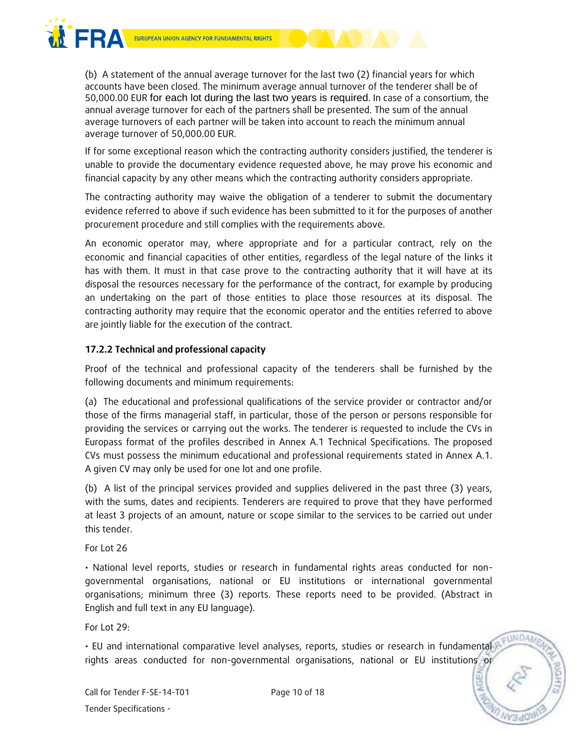



(b) A statement of the annual average turnover for the last two (2) financial years for which accounts have been closed. The minimum average annual turnover of the tenderer shall be of 50,000.00 EUR for each lot during the last two years is required. In case of a consortium, the annual average turnover for each of the partners shall be presented. The sum of the annual average turnovers of each partner will be taken into account to reach the minimum annual average turnover of 50,000.00 EUR.

If for some exceptional reason which the contracting authority considers justified, the tenderer is unable to provide the documentary evidence requested above, he may prove his economic and financial capacity by any other means which the contracting authority considers appropriate.

The contracting authority may waive the obligation of a tenderer to submit the documentary evidence referred to above if such evidence has been submitted to it for the purposes of another procurement procedure and still complies with the requirements above.

An economic operator may, where appropriate and for a particular contract, rely on the economic and financial capacities of other entities, regardless of the legal nature of the links it has with them. It must in that case prove to the contracting authority that it will have at its disposal the resources necessary for the performance of the contract, for example by producing an undertaking on the part of those entities to place those resources at its disposal. The contracting authority may require that the economic operator and the entities referred to above are jointly liable for the execution of the contract.

#### **17.2.2 Technical and professional capacity**

Proof of the technical and professional capacity of the tenderers shall be furnished by the following documents and minimum requirements:

(a) The educational and professional qualifications of the service provider or contractor and/or those of the firms managerial staff, in particular, those of the person or persons responsible for providing the services or carrying out the works. The tenderer is requested to include the CVs in Europass format of the profiles described in Annex A.1 Technical Specifications. The proposed CVs must possess the minimum educational and professional requirements stated in Annex A.1. A given CV may only be used for one lot and one profile.

(b) A list of the principal services provided and supplies delivered in the past three (3) years, with the sums, dates and recipients. Tenderers are required to prove that they have performed at least 3 projects of an amount, nature or scope similar to the services to be carried out under this tender.

For Lot 26

• National level reports, studies or research in fundamental rights areas conducted for nongovernmental organisations, national or EU institutions or international governmental organisations; minimum three (3) reports. These reports need to be provided. (Abstract in English and full text in any EU language).

For Lot 29:

• EU and international comparative level analyses, reports, studies or research in fundamental rights areas conducted for non-governmental organisations, national or EU institutions or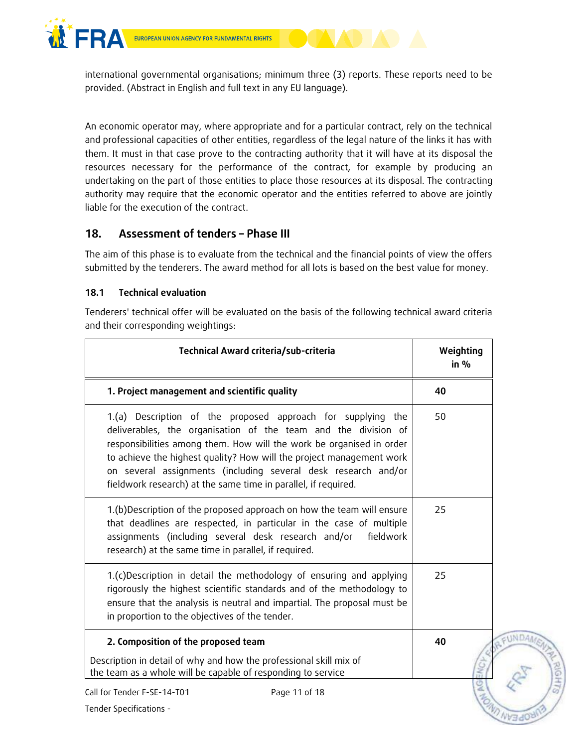



international governmental organisations; minimum three (3) reports. These reports need to be provided. (Abstract in English and full text in any EU language).

An economic operator may, where appropriate and for a particular contract, rely on the technical and professional capacities of other entities, regardless of the legal nature of the links it has with them. It must in that case prove to the contracting authority that it will have at its disposal the resources necessary for the performance of the contract, for example by producing an undertaking on the part of those entities to place those resources at its disposal. The contracting authority may require that the economic operator and the entities referred to above are jointly liable for the execution of the contract.

## **18. Assessment of tenders – Phase III**

The aim of this phase is to evaluate from the technical and the financial points of view the offers submitted by the tenderers. The award method for all lots is based on the best value for money.

#### **18.1 Technical evaluation**

Tenderers' technical offer will be evaluated on the basis of the following technical award criteria and their corresponding weightings:

| Technical Award criteria/sub-criteria                                                                                                                                                                                                                                                                                                                                                                              | Weighting<br>in % |  |
|--------------------------------------------------------------------------------------------------------------------------------------------------------------------------------------------------------------------------------------------------------------------------------------------------------------------------------------------------------------------------------------------------------------------|-------------------|--|
| 1. Project management and scientific quality                                                                                                                                                                                                                                                                                                                                                                       | 40                |  |
| 1.(a) Description of the proposed approach for supplying the<br>deliverables, the organisation of the team and the division of<br>responsibilities among them. How will the work be organised in order<br>to achieve the highest quality? How will the project management work<br>on several assignments (including several desk research and/or<br>fieldwork research) at the same time in parallel, if required. | 50                |  |
| 1.(b) Description of the proposed approach on how the team will ensure<br>that deadlines are respected, in particular in the case of multiple<br>assignments (including several desk research and/or<br>fieldwork<br>research) at the same time in parallel, if required.                                                                                                                                          | 25                |  |
| 1.(c)Description in detail the methodology of ensuring and applying<br>rigorously the highest scientific standards and of the methodology to<br>ensure that the analysis is neutral and impartial. The proposal must be<br>in proportion to the objectives of the tender.                                                                                                                                          | 25                |  |
| 2. Composition of the proposed team                                                                                                                                                                                                                                                                                                                                                                                | FUN<br>40         |  |
| Description in detail of why and how the professional skill mix of<br>the team as a whole will be capable of responding to service                                                                                                                                                                                                                                                                                 |                   |  |
| Call for Tender F-SE-14-T01<br>Page 11 of 18                                                                                                                                                                                                                                                                                                                                                                       | $\overline{Q}$    |  |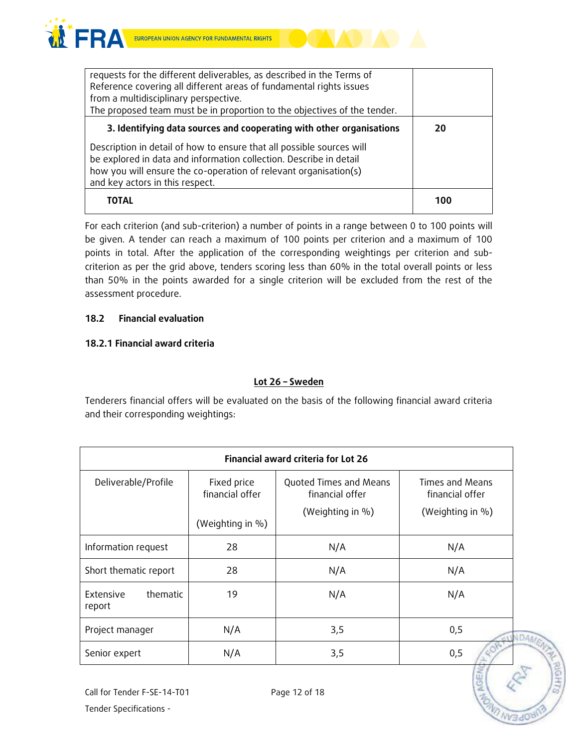



| requests for the different deliverables, as described in the Terms of    |     |
|--------------------------------------------------------------------------|-----|
| Reference covering all different areas of fundamental rights issues      |     |
| from a multidisciplinary perspective.                                    |     |
| The proposed team must be in proportion to the objectives of the tender. |     |
| 3. Identifying data sources and cooperating with other organisations     | 20  |
| Description in detail of how to ensure that all possible sources will    |     |
| be explored in data and information collection. Describe in detail       |     |
| how you will ensure the co-operation of relevant organisation(s)         |     |
| and key actors in this respect.                                          |     |
| TOTAL                                                                    | 100 |

For each criterion (and sub-criterion) a number of points in a range between 0 to 100 points will be given. A tender can reach a maximum of 100 points per criterion and a maximum of 100 points in total. After the application of the corresponding weightings per criterion and subcriterion as per the grid above, tenders scoring less than 60% in the total overall points or less than 50% in the points awarded for a single criterion will be excluded from the rest of the assessment procedure.

#### **18.2 Financial evaluation**

#### **18.2.1 Financial award criteria**

## **Lot 26 – Sweden**

Tenderers financial offers will be evaluated on the basis of the following financial award criteria and their corresponding weightings:

| Financial award criteria for Lot 26 |                                |                                           |                                    |
|-------------------------------------|--------------------------------|-------------------------------------------|------------------------------------|
| Deliverable/Profile                 | Fixed price<br>financial offer | Quoted Times and Means<br>financial offer | Times and Means<br>financial offer |
|                                     | (Weighting in %)               | (Weighting in %)                          | (Weighting in %)                   |
| Information request                 | 28                             | N/A                                       | N/A                                |
| Short thematic report               | 28                             | N/A                                       | N/A                                |
| thematic<br>Extensive<br>report     | 19                             | N/A                                       | N/A                                |
| Project manager                     | N/A                            | 3,5                                       | 0,5<br><b>NDAN</b>                 |
| Senior expert                       | N/A                            | 3,5                                       | 0,5                                |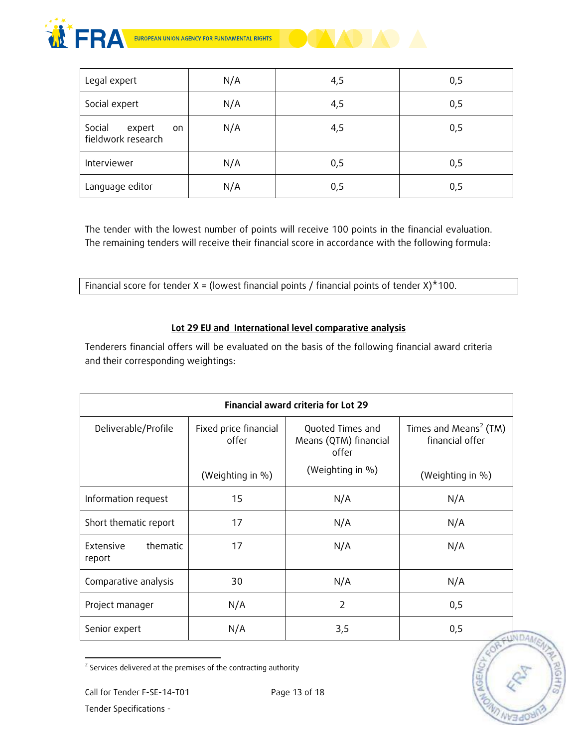



| Legal expert                                 | N/A | 4,5 | 0,5 |
|----------------------------------------------|-----|-----|-----|
| Social expert                                | N/A | 4,5 | 0,5 |
| Social<br>expert<br>on<br>fieldwork research | N/A | 4,5 | 0,5 |
| Interviewer                                  | N/A | 0,5 | 0,5 |
| Language editor                              | N/A | 0,5 | 0,5 |

The tender with the lowest number of points will receive 100 points in the financial evaluation. The remaining tenders will receive their financial score in accordance with the following formula:

Financial score for tender  $X =$  (lowest financial points / financial points of tender  $X$ )\*100.

## **Lot 29 EU and International level comparative analysis**

Tenderers financial offers will be evaluated on the basis of the following financial award criteria and their corresponding weightings:

| Financial award criteria for Lot 29 |                                |                                                    |                                                      |  |
|-------------------------------------|--------------------------------|----------------------------------------------------|------------------------------------------------------|--|
| Deliverable/Profile                 | Fixed price financial<br>offer | Quoted Times and<br>Means (QTM) financial<br>offer | Times and Means <sup>2</sup> (TM)<br>financial offer |  |
|                                     | (Weighting in %)               | (Weighting in %)                                   | (Weighting in %)                                     |  |
| Information request                 | 15                             | N/A                                                | N/A                                                  |  |
| Short thematic report               | 17                             | N/A                                                | N/A                                                  |  |
| thematic<br>Extensive<br>report     | 17                             | N/A                                                | N/A                                                  |  |
| Comparative analysis                | 30                             | N/A                                                | N/A                                                  |  |
| Project manager                     | N/A                            | 2                                                  | 0,5                                                  |  |
| Senior expert                       | N/A                            | 3,5                                                | 0,5                                                  |  |



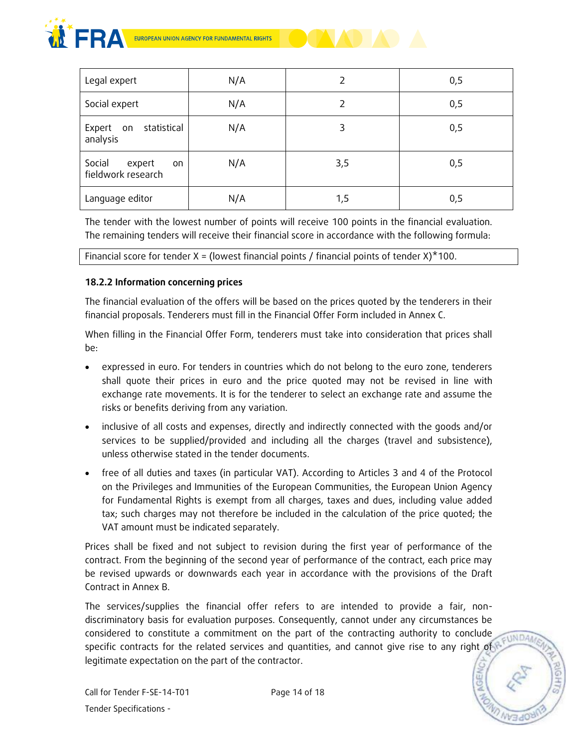



| Legal expert                                 | N/A |     | 0,5 |
|----------------------------------------------|-----|-----|-----|
| Social expert                                | N/A |     | 0,5 |
| statistical<br>Expert on<br>analysis         | N/A | 3   | 0,5 |
| Social<br>expert<br>on<br>fieldwork research | N/A | 3,5 | 0,5 |
| Language editor                              | N/A | 1,5 | 0,5 |

The tender with the lowest number of points will receive 100 points in the financial evaluation. The remaining tenders will receive their financial score in accordance with the following formula:

Financial score for tender  $X =$  (lowest financial points / financial points of tender  $X$ )\*100.

#### **18.2.2 Information concerning prices**

The financial evaluation of the offers will be based on the prices quoted by the tenderers in their financial proposals. Tenderers must fill in the Financial Offer Form included in Annex C.

When filling in the Financial Offer Form, tenderers must take into consideration that prices shall be:

- expressed in euro. For tenders in countries which do not belong to the euro zone, tenderers shall quote their prices in euro and the price quoted may not be revised in line with exchange rate movements. It is for the tenderer to select an exchange rate and assume the risks or benefits deriving from any variation.
- inclusive of all costs and expenses, directly and indirectly connected with the goods and/or services to be supplied/provided and including all the charges (travel and subsistence), unless otherwise stated in the tender documents.
- free of all duties and taxes (in particular VAT). According to Articles 3 and 4 of the Protocol on the Privileges and Immunities of the European Communities, the European Union Agency for Fundamental Rights is exempt from all charges, taxes and dues, including value added tax; such charges may not therefore be included in the calculation of the price quoted; the VAT amount must be indicated separately.

Prices shall be fixed and not subject to revision during the first year of performance of the contract. From the beginning of the second year of performance of the contract, each price may be revised upwards or downwards each year in accordance with the provisions of the Draft Contract in Annex B.

The services/supplies the financial offer refers to are intended to provide a fair, nondiscriminatory basis for evaluation purposes. Consequently, cannot under any circumstances be considered to constitute a commitment on the part of the contracting authority to conclude EUNDAN specific contracts for the related services and quantities, and cannot give rise to any right of legitimate expectation on the part of the contractor.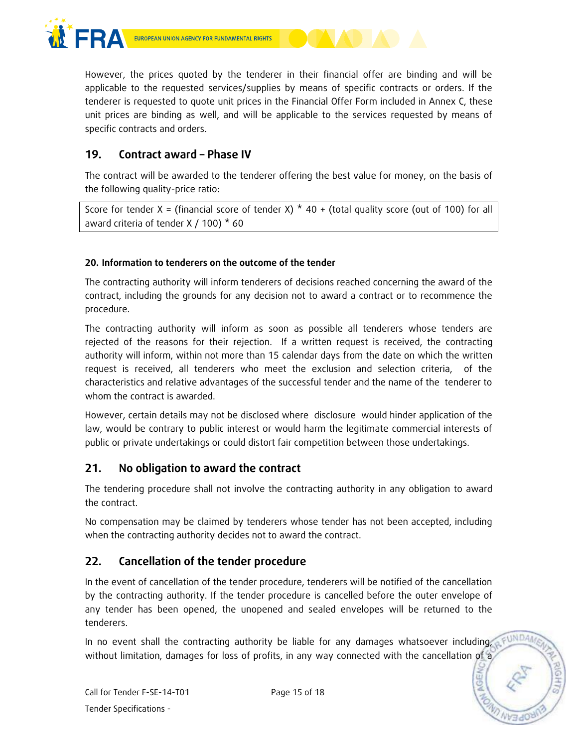

However, the prices quoted by the tenderer in their financial offer are binding and will be applicable to the requested services/supplies by means of specific contracts or orders. If the tenderer is requested to quote unit prices in the Financial Offer Form included in Annex C, these unit prices are binding as well, and will be applicable to the services requested by means of specific contracts and orders.

## **19. Contract award – Phase IV**

The contract will be awarded to the tenderer offering the best value for money, on the basis of the following quality-price ratio:

Score for tender X = (financial score of tender X)  $*$  40 + (total quality score (out of 100) for all award criteria of tender X / 100) \* 60

#### **20. Information to tenderers on the outcome of the tender**

The contracting authority will inform tenderers of decisions reached concerning the award of the contract, including the grounds for any decision not to award a contract or to recommence the procedure.

The contracting authority will inform as soon as possible all tenderers whose tenders are rejected of the reasons for their rejection. If a written request is received, the contracting authority will inform, within not more than 15 calendar days from the date on which the written request is received, all tenderers who meet the exclusion and selection criteria, of the characteristics and relative advantages of the successful tender and the name of the tenderer to whom the contract is awarded.

However, certain details may not be disclosed where disclosure would hinder application of the law, would be contrary to public interest or would harm the legitimate commercial interests of public or private undertakings or could distort fair competition between those undertakings.

## **21. No obligation to award the contract**

The tendering procedure shall not involve the contracting authority in any obligation to award the contract.

No compensation may be claimed by tenderers whose tender has not been accepted, including when the contracting authority decides not to award the contract.

## **22. Cancellation of the tender procedure**

In the event of cancellation of the tender procedure, tenderers will be notified of the cancellation by the contracting authority. If the tender procedure is cancelled before the outer envelope of any tender has been opened, the unopened and sealed envelopes will be returned to the tenderers.

In no event shall the contracting authority be liable for any damages whatsoever including, without limitation, damages for loss of profits, in any way connected with the cancellation of a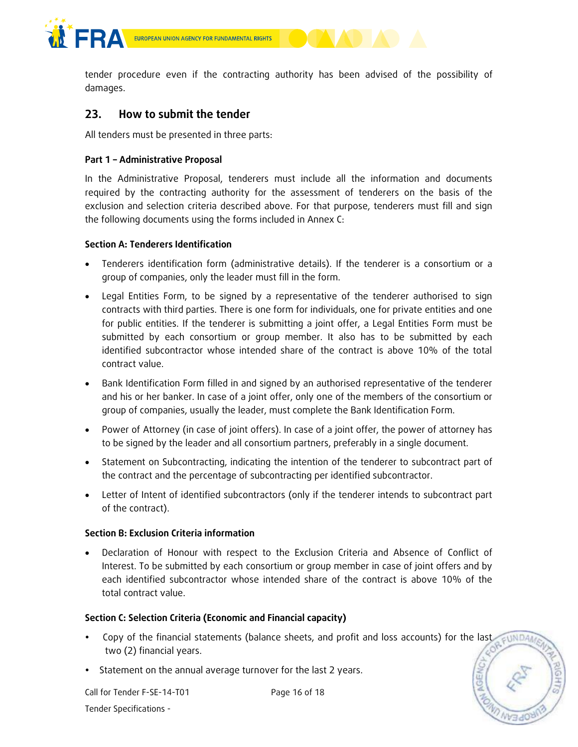

tender procedure even if the contracting authority has been advised of the possibility of damages.

## **23. How to submit the tender**

All tenders must be presented in three parts:

#### **Part 1 – Administrative Proposal**

In the Administrative Proposal, tenderers must include all the information and documents required by the contracting authority for the assessment of tenderers on the basis of the exclusion and selection criteria described above. For that purpose, tenderers must fill and sign the following documents using the forms included in Annex C:

#### **Section A: Tenderers Identification**

- Tenderers identification form (administrative details). If the tenderer is a consortium or a group of companies, only the leader must fill in the form.
- Legal Entities Form, to be signed by a representative of the tenderer authorised to sign contracts with third parties. There is one form for individuals, one for private entities and one for public entities. If the tenderer is submitting a joint offer, a Legal Entities Form must be submitted by each consortium or group member. It also has to be submitted by each identified subcontractor whose intended share of the contract is above 10% of the total contract value.
- Bank Identification Form filled in and signed by an authorised representative of the tenderer and his or her banker. In case of a joint offer, only one of the members of the consortium or group of companies, usually the leader, must complete the Bank Identification Form.
- Power of Attorney (in case of joint offers). In case of a joint offer, the power of attorney has to be signed by the leader and all consortium partners, preferably in a single document.
- Statement on Subcontracting, indicating the intention of the tenderer to subcontract part of the contract and the percentage of subcontracting per identified subcontractor.
- Letter of Intent of identified subcontractors (only if the tenderer intends to subcontract part of the contract).

#### **Section B: Exclusion Criteria information**

 Declaration of Honour with respect to the Exclusion Criteria and Absence of Conflict of Interest. To be submitted by each consortium or group member in case of joint offers and by each identified subcontractor whose intended share of the contract is above 10% of the total contract value.

#### **Section C: Selection Criteria (Economic and Financial capacity)**

- Copy of the financial statements (balance sheets, and profit and loss accounts) for the last EUNDA two (2) financial years.
- Statement on the annual average turnover for the last 2 years.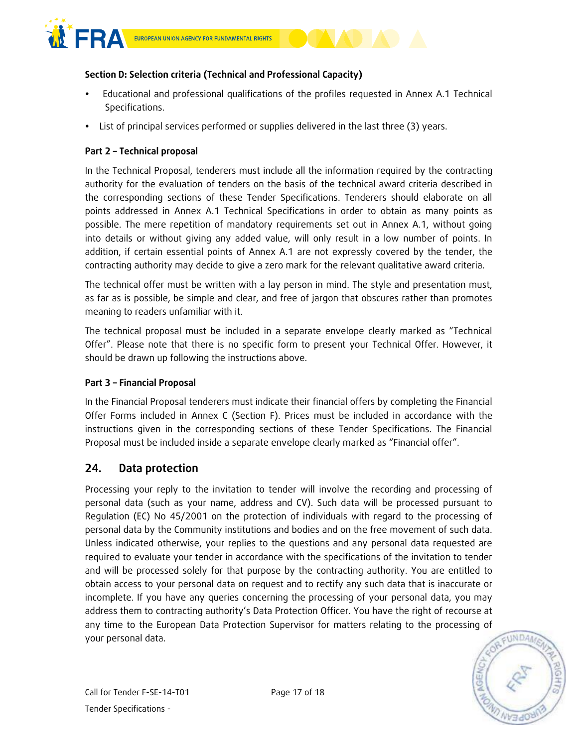

#### **Section D: Selection criteria (Technical and Professional Capacity)**

- Educational and professional qualifications of the profiles requested in Annex A.1 Technical Specifications.
- List of principal services performed or supplies delivered in the last three (3) years.

#### **Part 2 – Technical proposal**

In the Technical Proposal, tenderers must include all the information required by the contracting authority for the evaluation of tenders on the basis of the technical award criteria described in the corresponding sections of these Tender Specifications. Tenderers should elaborate on all points addressed in Annex A.1 Technical Specifications in order to obtain as many points as possible. The mere repetition of mandatory requirements set out in Annex A.1, without going into details or without giving any added value, will only result in a low number of points. In addition, if certain essential points of Annex A.1 are not expressly covered by the tender, the contracting authority may decide to give a zero mark for the relevant qualitative award criteria.

The technical offer must be written with a lay person in mind. The style and presentation must, as far as is possible, be simple and clear, and free of jargon that obscures rather than promotes meaning to readers unfamiliar with it.

The technical proposal must be included in a separate envelope clearly marked as "Technical Offer". Please note that there is no specific form to present your Technical Offer. However, it should be drawn up following the instructions above.

#### **Part 3 – Financial Proposal**

In the Financial Proposal tenderers must indicate their financial offers by completing the Financial Offer Forms included in Annex C (Section F). Prices must be included in accordance with the instructions given in the corresponding sections of these Tender Specifications. The Financial Proposal must be included inside a separate envelope clearly marked as "Financial offer".

## **24. Data protection**

Processing your reply to the invitation to tender will involve the recording and processing of personal data (such as your name, address and CV). Such data will be processed pursuant to Regulation (EC) No 45/2001 on the protection of individuals with regard to the processing of personal data by the Community institutions and bodies and on the free movement of such data. Unless indicated otherwise, your replies to the questions and any personal data requested are required to evaluate your tender in accordance with the specifications of the invitation to tender and will be processed solely for that purpose by the contracting authority. You are entitled to obtain access to your personal data on request and to rectify any such data that is inaccurate or incomplete. If you have any queries concerning the processing of your personal data, you may address them to contracting authority's Data Protection Officer. You have the right of recourse at any time to the European Data Protection Supervisor for matters relating to the processing of your personal data.